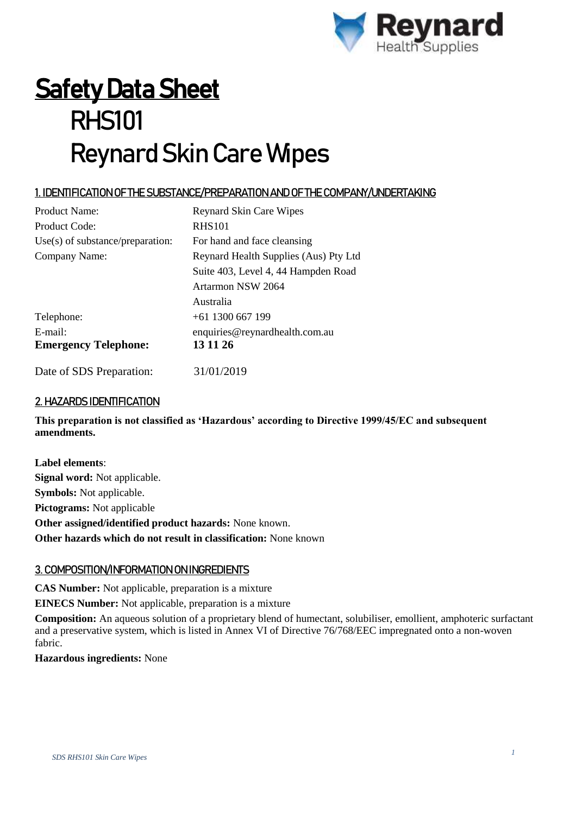

# **Safety Data Sheet** RHS101 Reynard Skin Care Wipes

## 1. IDENTIFICATION OF THE SUBSTANCE/PREPARATION AND OF THE COMPANY/UNDERTAKING

| <b>Product Name:</b>               | <b>Reynard Skin Care Wipes</b>        |
|------------------------------------|---------------------------------------|
| Product Code:                      | <b>RHS101</b>                         |
| $Use(s)$ of substance/preparation: | For hand and face cleansing           |
| Company Name:                      | Reynard Health Supplies (Aus) Pty Ltd |
|                                    | Suite 403, Level 4, 44 Hampden Road   |
|                                    | Artarmon NSW 2064                     |
|                                    | Australia                             |
| Telephone:                         | $+61$ 1300 667 199                    |
| $E$ -mail:                         | enquiries@reynardhealth.com.au        |
| <b>Emergency Telephone:</b>        | 13 11 26                              |
| Date of SDS Preparation:           | 31/01/2019                            |

# 2. HAZARDS IDENTIFICATION

**This preparation is not classified as 'Hazardous' according to Directive 1999/45/EC and subsequent amendments.**

**Label elements**: **Signal word:** Not applicable. **Symbols:** Not applicable. **Pictograms:** Not applicable **Other assigned/identified product hazards:** None known. **Other hazards which do not result in classification:** None known

#### 3. COMPOSITION/INFORMATION ON INGREDIENTS

**CAS Number:** Not applicable, preparation is a mixture

**EINECS Number:** Not applicable, preparation is a mixture

**Composition:** An aqueous solution of a proprietary blend of humectant, solubiliser, emollient, amphoteric surfactant and a preservative system, which is listed in Annex VI of Directive 76/768/EEC impregnated onto a non-woven fabric.

**Hazardous ingredients:** None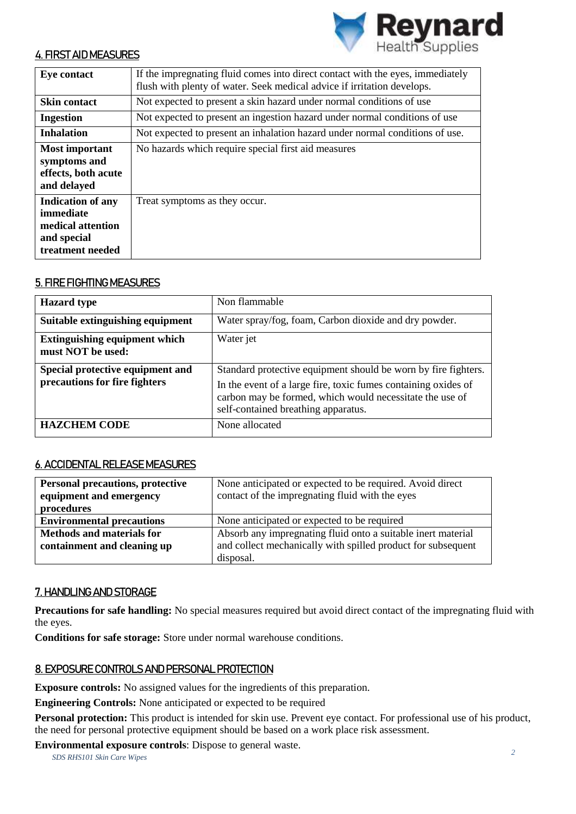

#### 4. FIRST AID MEASURES

| <b>Eye contact</b>                                                                            | If the impregnating fluid comes into direct contact with the eyes, immediately<br>flush with plenty of water. Seek medical advice if irritation develops. |
|-----------------------------------------------------------------------------------------------|-----------------------------------------------------------------------------------------------------------------------------------------------------------|
| <b>Skin contact</b>                                                                           | Not expected to present a skin hazard under normal conditions of use                                                                                      |
| <b>Ingestion</b>                                                                              | Not expected to present an ingestion hazard under normal conditions of use                                                                                |
| <b>Inhalation</b>                                                                             | Not expected to present an inhalation hazard under normal conditions of use.                                                                              |
| <b>Most important</b><br>symptoms and<br>effects, both acute<br>and delayed                   | No hazards which require special first aid measures                                                                                                       |
| <b>Indication of any</b><br>immediate<br>medical attention<br>and special<br>treatment needed | Treat symptoms as they occur.                                                                                                                             |

#### 5. FIRE FIGHTING MEASURES

| <b>Hazard</b> type                                                | Non flammable                                                                                                                                                                                                                       |
|-------------------------------------------------------------------|-------------------------------------------------------------------------------------------------------------------------------------------------------------------------------------------------------------------------------------|
| Suitable extinguishing equipment                                  | Water spray/fog, foam, Carbon dioxide and dry powder.                                                                                                                                                                               |
| <b>Extinguishing equipment which</b><br>must NOT be used:         | Water jet                                                                                                                                                                                                                           |
| Special protective equipment and<br>precautions for fire fighters | Standard protective equipment should be worn by fire fighters.<br>In the event of a large fire, toxic fumes containing oxides of<br>carbon may be formed, which would necessitate the use of<br>self-contained breathing apparatus. |
| <b>HAZCHEM CODE</b>                                               | None allocated                                                                                                                                                                                                                      |

#### 6. ACCIDENTAL RELEASE MEASURES

| <b>Personal precautions, protective</b><br>equipment and emergency<br>procedures | None anticipated or expected to be required. Avoid direct<br>contact of the impregnating fluid with the eyes                 |
|----------------------------------------------------------------------------------|------------------------------------------------------------------------------------------------------------------------------|
| <b>Environmental precautions</b>                                                 | None anticipated or expected to be required                                                                                  |
| <b>Methods and materials for</b><br>containment and cleaning up                  | Absorb any impregnating fluid onto a suitable inert material<br>and collect mechanically with spilled product for subsequent |
|                                                                                  | disposal.                                                                                                                    |

### 7. HANDLING AND STORAGE

**Precautions for safe handling:** No special measures required but avoid direct contact of the impregnating fluid with the eyes.

**Conditions for safe storage:** Store under normal warehouse conditions.

#### 8. EXPOSURE CONTROLS AND PERSONAL PROTECTION

**Exposure controls:** No assigned values for the ingredients of this preparation.

**Engineering Controls:** None anticipated or expected to be required

**Personal protection:** This product is intended for skin use. Prevent eye contact. For professional use of his product, the need for personal protective equipment should be based on a work place risk assessment.

*SDS RHS101 Skin Care Wipes <sup>2</sup>* **Environmental exposure controls**: Dispose to general waste.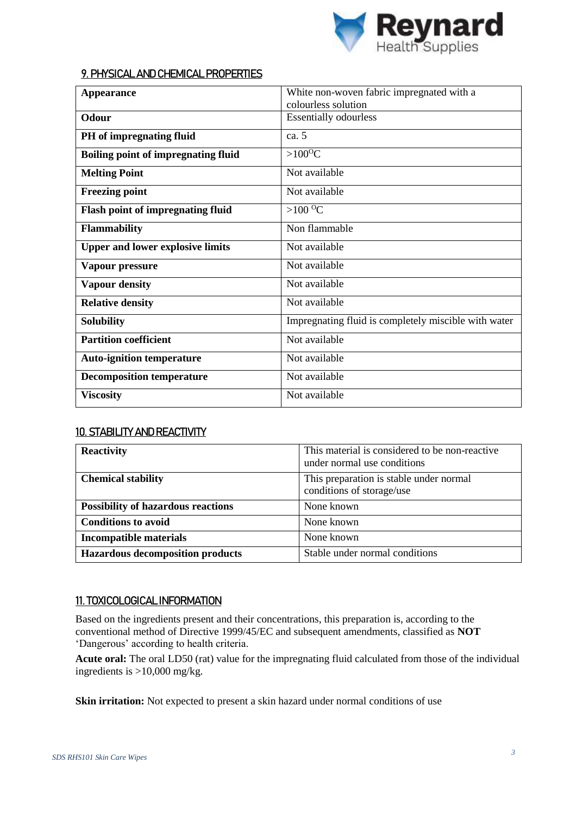

#### 9. PHYSICAL AND CHEMICAL PROPERTIES

| <b>Appearance</b>                          | White non-woven fabric impregnated with a            |
|--------------------------------------------|------------------------------------------------------|
|                                            | colourless solution                                  |
| Odour                                      | <b>Essentially odourless</b>                         |
| PH of impregnating fluid                   | ca. 5                                                |
| <b>Boiling point of impregnating fluid</b> | $>100^{\circ}C$                                      |
| <b>Melting Point</b>                       | Not available                                        |
| <b>Freezing point</b>                      | Not available                                        |
| <b>Flash point of impregnating fluid</b>   | $>100\,^{\circ}\mathrm{C}$                           |
| Flammability                               | Non flammable                                        |
| <b>Upper and lower explosive limits</b>    | Not available                                        |
| Vapour pressure                            | Not available                                        |
| <b>Vapour density</b>                      | Not available                                        |
| <b>Relative density</b>                    | Not available                                        |
| Solubility                                 | Impregnating fluid is completely miscible with water |
| <b>Partition coefficient</b>               | Not available                                        |
| <b>Auto-ignition temperature</b>           | Not available                                        |
| <b>Decomposition temperature</b>           | Not available                                        |
| <b>Viscosity</b>                           | Not available                                        |

#### 10. STABILITY AND REACTIVITY

| <b>Reactivity</b>                         | This material is considered to be non-reactive<br>under normal use conditions |
|-------------------------------------------|-------------------------------------------------------------------------------|
| <b>Chemical stability</b>                 | This preparation is stable under normal<br>conditions of storage/use          |
| <b>Possibility of hazardous reactions</b> | None known                                                                    |
| <b>Conditions to avoid</b>                | None known                                                                    |
| <b>Incompatible materials</b>             | None known                                                                    |
| <b>Hazardous decomposition products</b>   | Stable under normal conditions                                                |

#### 11. TOXICOLOGICAL INFORMATION

Based on the ingredients present and their concentrations, this preparation is, according to the conventional method of Directive 1999/45/EC and subsequent amendments, classified as **NOT** 'Dangerous' according to health criteria.

**Acute oral:** The oral LD50 (rat) value for the impregnating fluid calculated from those of the individual ingredients is >10,000 mg/kg.

Skin irritation: Not expected to present a skin hazard under normal conditions of use